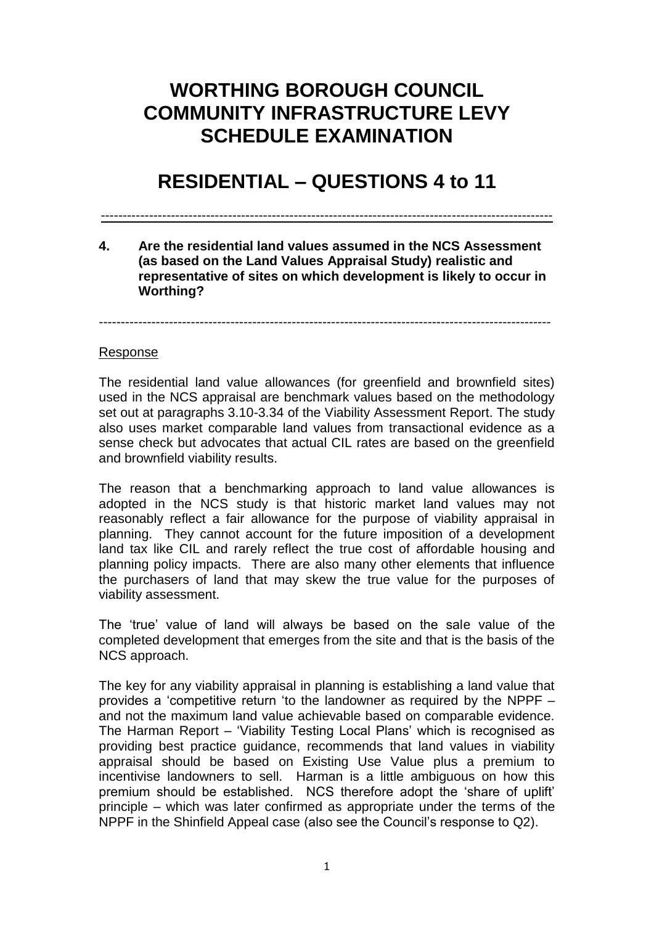# **WORTHING BOROUGH COUNCIL COMMUNITY INFRASTRUCTURE LEVY SCHEDULE EXAMINATION**

# **RESIDENTIAL – QUESTIONS 4 to 11**

-------------------------------------------------------------------------------------------------------

**4. Are the residential land values assumed in the NCS Assessment (as based on the Land Values Appraisal Study) realistic and representative of sites on which development is likely to occur in Worthing?** 

-------------------------------------------------------------------------------------------------------

#### Response

The residential land value allowances (for greenfield and brownfield sites) used in the NCS appraisal are benchmark values based on the methodology set out at paragraphs 3.10-3.34 of the Viability Assessment Report. The study also uses market comparable land values from transactional evidence as a sense check but advocates that actual CIL rates are based on the greenfield and brownfield viability results.

The reason that a benchmarking approach to land value allowances is adopted in the NCS study is that historic market land values may not reasonably reflect a fair allowance for the purpose of viability appraisal in planning. They cannot account for the future imposition of a development land tax like CIL and rarely reflect the true cost of affordable housing and planning policy impacts. There are also many other elements that influence the purchasers of land that may skew the true value for the purposes of viability assessment.

The 'true' value of land will always be based on the sale value of the completed development that emerges from the site and that is the basis of the NCS approach.

The key for any viability appraisal in planning is establishing a land value that provides a 'competitive return 'to the landowner as required by the NPPF – and not the maximum land value achievable based on comparable evidence. The Harman Report – 'Viability Testing Local Plans' which is recognised as providing best practice guidance, recommends that land values in viability appraisal should be based on Existing Use Value plus a premium to incentivise landowners to sell. Harman is a little ambiguous on how this premium should be established. NCS therefore adopt the 'share of uplift' principle – which was later confirmed as appropriate under the terms of the NPPF in the Shinfield Appeal case (also see the Council's response to Q2).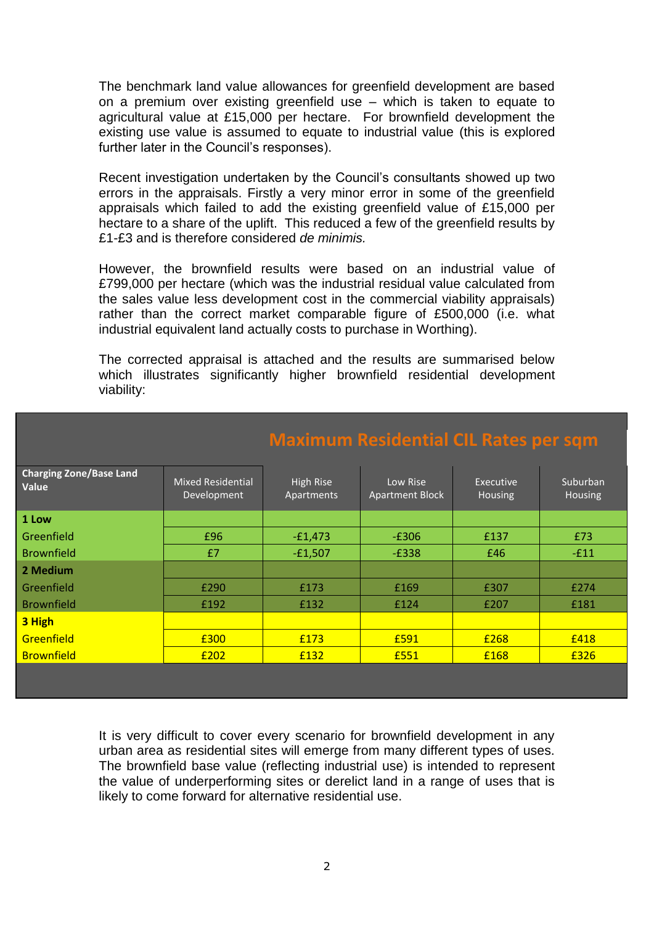The benchmark land value allowances for greenfield development are based on a premium over existing greenfield use – which is taken to equate to agricultural value at £15,000 per hectare. For brownfield development the existing use value is assumed to equate to industrial value (this is explored further later in the Council's responses).

Recent investigation undertaken by the Council's consultants showed up two errors in the appraisals. Firstly a very minor error in some of the greenfield appraisals which failed to add the existing greenfield value of £15,000 per hectare to a share of the uplift. This reduced a few of the greenfield results by £1-£3 and is therefore considered *de minimis.*

However, the brownfield results were based on an industrial value of £799,000 per hectare (which was the industrial residual value calculated from the sales value less development cost in the commercial viability appraisals) rather than the correct market comparable figure of £500,000 (i.e. what industrial equivalent land actually costs to purchase in Worthing).

The corrected appraisal is attached and the results are summarised below which illustrates significantly higher brownfield residential development viability:

|                                         |                                         | <b>INDUCED IN THE INCORPORATION OF THE COUPLE</b> |                                    |                             |                            |  |  |
|-----------------------------------------|-----------------------------------------|---------------------------------------------------|------------------------------------|-----------------------------|----------------------------|--|--|
| <b>Charging Zone/Base Land</b><br>Value | <b>Mixed Residential</b><br>Development | High Rise<br>Apartments                           | Low Rise<br><b>Apartment Block</b> | Executive<br><b>Housing</b> | Suburban<br><b>Housing</b> |  |  |
| 1 Low                                   |                                         |                                                   |                                    |                             |                            |  |  |
| Greenfield                              | £96                                     | $-E1,473$                                         | $-E306$                            | £137                        | £73                        |  |  |
| <b>Brownfield</b>                       | £7                                      | $-£1,507$                                         | $-E338$                            | £46                         | $-E11$                     |  |  |
| 2 Medium                                |                                         |                                                   |                                    |                             |                            |  |  |
| Greenfield                              | £290                                    | £173                                              | £169                               | £307                        | £274                       |  |  |
| <b>Brownfield</b>                       | £192                                    | £132                                              | £124                               | £207                        | £181                       |  |  |
| 3 High                                  |                                         |                                                   |                                    |                             |                            |  |  |
| Greenfield                              | £300                                    | £173                                              | £591                               | £268                        | £418                       |  |  |
| <b>Brownfield</b>                       | £202                                    | £132                                              | £551                               | £168                        | £326                       |  |  |
|                                         |                                         |                                                   |                                    |                             |                            |  |  |

## **Maximum Residential CIL Rates per sqm**

It is very difficult to cover every scenario for brownfield development in any urban area as residential sites will emerge from many different types of uses. The brownfield base value (reflecting industrial use) is intended to represent the value of underperforming sites or derelict land in a range of uses that is likely to come forward for alternative residential use.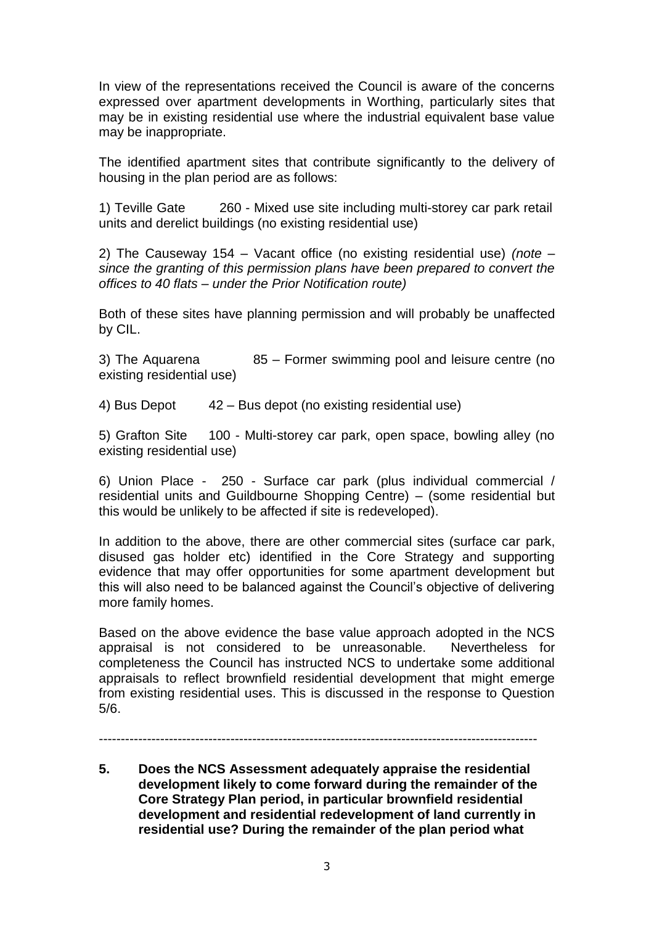In view of the representations received the Council is aware of the concerns expressed over apartment developments in Worthing, particularly sites that may be in existing residential use where the industrial equivalent base value may be inappropriate.

The identified apartment sites that contribute significantly to the delivery of housing in the plan period are as follows:

1) Teville Gate 260 - Mixed use site including multi-storey car park retail units and derelict buildings (no existing residential use)

2) The Causeway 154 – Vacant office (no existing residential use) *(note – since the granting of this permission plans have been prepared to convert the offices to 40 flats – under the Prior Notification route)*

Both of these sites have planning permission and will probably be unaffected by CIL.

3) The Aquarena 85 – Former swimming pool and leisure centre (no existing residential use)

4) Bus Depot 42 – Bus depot (no existing residential use)

5) Grafton Site 100 - Multi-storey car park, open space, bowling alley (no existing residential use)

6) Union Place - 250 - Surface car park (plus individual commercial / residential units and Guildbourne Shopping Centre) – (some residential but this would be unlikely to be affected if site is redeveloped).

In addition to the above, there are other commercial sites (surface car park, disused gas holder etc) identified in the Core Strategy and supporting evidence that may offer opportunities for some apartment development but this will also need to be balanced against the Council's objective of delivering more family homes.

Based on the above evidence the base value approach adopted in the NCS appraisal is not considered to be unreasonable. Nevertheless for completeness the Council has instructed NCS to undertake some additional appraisals to reflect brownfield residential development that might emerge from existing residential uses. This is discussed in the response to Question 5/6.

----------------------------------------------------------------------------------------------------

**5. Does the NCS Assessment adequately appraise the residential development likely to come forward during the remainder of the Core Strategy Plan period, in particular brownfield residential development and residential redevelopment of land currently in residential use? During the remainder of the plan period what**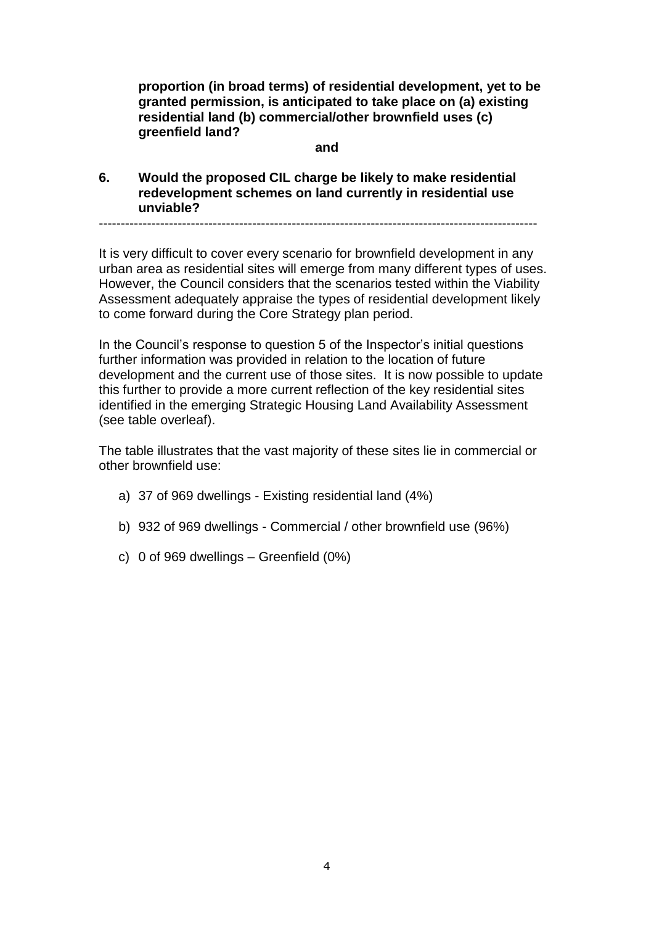**proportion (in broad terms) of residential development, yet to be granted permission, is anticipated to take place on (a) existing residential land (b) commercial/other brownfield uses (c) greenfield land?** 

#### **and**

**6. Would the proposed CIL charge be likely to make residential redevelopment schemes on land currently in residential use unviable?**

----------------------------------------------------------------------------------------------------

It is very difficult to cover every scenario for brownfield development in any urban area as residential sites will emerge from many different types of uses. However, the Council considers that the scenarios tested within the Viability Assessment adequately appraise the types of residential development likely to come forward during the Core Strategy plan period.

In the Council's response to question 5 of the Inspector's initial questions further information was provided in relation to the location of future development and the current use of those sites. It is now possible to update this further to provide a more current reflection of the key residential sites identified in the emerging Strategic Housing Land Availability Assessment (see table overleaf).

The table illustrates that the vast majority of these sites lie in commercial or other brownfield use:

- a) 37 of 969 dwellings Existing residential land (4%)
- b) 932 of 969 dwellings Commercial / other brownfield use (96%)
- c) 0 of 969 dwellings Greenfield (0%)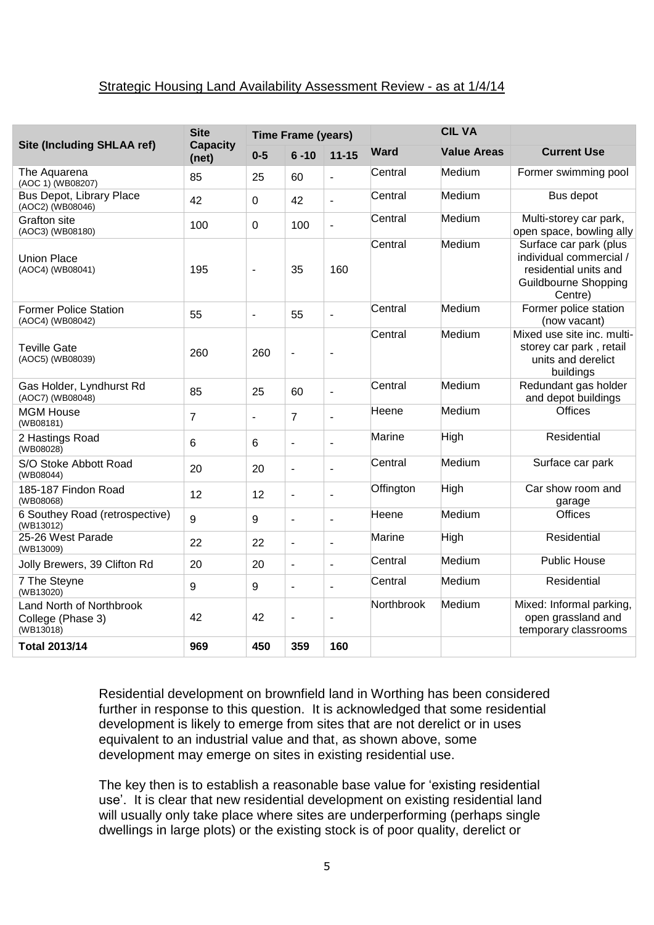#### Strategic Housing Land Availability Assessment Review - as at 1/4/14

| <b>Site</b><br><b>Time Frame (years)</b><br><b>Capacity</b> |                                           |                |                | <b>CIL VA</b>            |                    |        |                                                                                                                      |
|-------------------------------------------------------------|-------------------------------------------|----------------|----------------|--------------------------|--------------------|--------|----------------------------------------------------------------------------------------------------------------------|
| <b>Site (Including SHLAA ref)</b>                           | $0 - 5$<br>$6 - 10$<br>$11 - 15$<br>(net) |                | <b>Ward</b>    | <b>Value Areas</b>       | <b>Current Use</b> |        |                                                                                                                      |
| The Aquarena<br>(AOC 1) (WB08207)                           | 85                                        | 25             | 60             | $\blacksquare$           | Central            | Medium | Former swimming pool                                                                                                 |
| <b>Bus Depot, Library Place</b><br>(AOC2) (WB08046)         | 42                                        | 0              | 42             | $\overline{a}$           | Central            | Medium | Bus depot                                                                                                            |
| <b>Grafton site</b><br>(AOC3) (WB08180)                     | 100                                       | $\Omega$       | 100            | $\overline{a}$           | Central            | Medium | Multi-storey car park,<br>open space, bowling ally                                                                   |
| <b>Union Place</b><br>(AOC4) (WB08041)                      | 195                                       | $\blacksquare$ | 35             | 160                      | Central            | Medium | Surface car park (plus<br>individual commercial /<br>residential units and<br><b>Guildbourne Shopping</b><br>Centre) |
| <b>Former Police Station</b><br>(AOC4) (WB08042)            | 55                                        | $\blacksquare$ | 55             | $\overline{a}$           | Central            | Medium | Former police station<br>(now vacant)                                                                                |
| <b>Teville Gate</b><br>(AOC5) (WB08039)                     | 260                                       | 260            | $\blacksquare$ | $\blacksquare$           | Central            | Medium | Mixed use site inc. multi-<br>storey car park, retail<br>units and derelict<br>buildings                             |
| Gas Holder, Lyndhurst Rd<br>(AOC7) (WB08048)                | 85                                        | 25             | 60             | $\overline{\phantom{a}}$ | Central            | Medium | Redundant gas holder<br>and depot buildings                                                                          |
| <b>MGM House</b><br>(WB08181)                               | 7                                         | $\blacksquare$ | $\overline{7}$ | $\overline{a}$           | Heene              | Medium | <b>Offices</b>                                                                                                       |
| 2 Hastings Road<br>(WB08028)                                | 6                                         | 6              | $\blacksquare$ | $\overline{a}$           | Marine             | High   | Residential                                                                                                          |
| S/O Stoke Abbott Road<br>(WB08044)                          | 20                                        | 20             | $\blacksquare$ | $\overline{\phantom{a}}$ | Central            | Medium | Surface car park                                                                                                     |
| 185-187 Findon Road<br>(WB08068)                            | 12                                        | 12             | $\blacksquare$ | $\overline{\phantom{a}}$ | Offington          | High   | Car show room and<br>garage                                                                                          |
| 6 Southey Road (retrospective)<br>(WB13012)                 | 9                                         | 9              | $\blacksquare$ | $\blacksquare$           | Heene              | Medium | <b>Offices</b>                                                                                                       |
| 25-26 West Parade<br>(WB13009)                              | 22                                        | 22             | $\blacksquare$ | $\overline{a}$           | Marine             | High   | Residential                                                                                                          |
| Jolly Brewers, 39 Clifton Rd                                | 20                                        | 20             | $\blacksquare$ | $\overline{a}$           | Central            | Medium | <b>Public House</b>                                                                                                  |
| 7 The Steyne<br>(WB13020)                                   | 9                                         | 9              | $\blacksquare$ | L,                       | Central            | Medium | Residential                                                                                                          |
| Land North of Northbrook<br>College (Phase 3)<br>(WB13018)  | 42                                        | 42             | $\blacksquare$ | $\overline{\phantom{a}}$ | Northbrook         | Medium | Mixed: Informal parking,<br>open grassland and<br>temporary classrooms                                               |
| <b>Total 2013/14</b>                                        | 969                                       | 450            | 359            | 160                      |                    |        |                                                                                                                      |

Residential development on brownfield land in Worthing has been considered further in response to this question. It is acknowledged that some residential development is likely to emerge from sites that are not derelict or in uses equivalent to an industrial value and that, as shown above, some development may emerge on sites in existing residential use.

The key then is to establish a reasonable base value for 'existing residential use'. It is clear that new residential development on existing residential land will usually only take place where sites are underperforming (perhaps single dwellings in large plots) or the existing stock is of poor quality, derelict or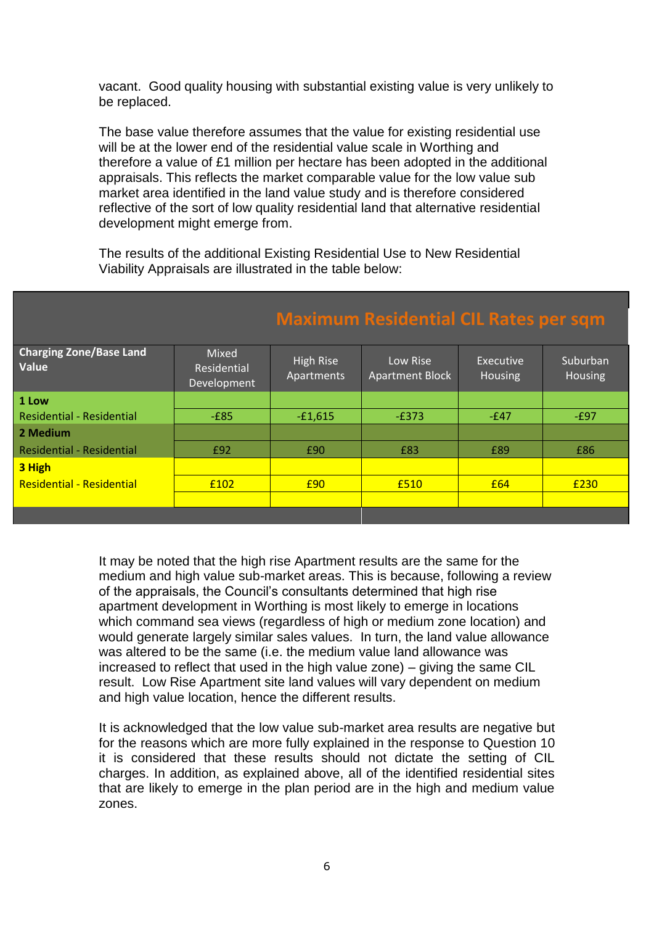vacant. Good quality housing with substantial existing value is very unlikely to be replaced.

The base value therefore assumes that the value for existing residential use will be at the lower end of the residential value scale in Worthing and therefore a value of £1 million per hectare has been adopted in the additional appraisals. This reflects the market comparable value for the low value sub market area identified in the land value study and is therefore considered reflective of the sort of low quality residential land that alternative residential development might emerge from.

The results of the additional Existing Residential Use to New Residential Viability Appraisals are illustrated in the table below:

| <b>Charging Zone/Base Land</b><br>Value | <b>Mixed</b><br>Residential<br>Development | High Rise<br>Apartments | Low Rise<br><b>Apartment Block</b> | Executive<br><b>Housing</b> | Suburban<br><b>Housing</b> |
|-----------------------------------------|--------------------------------------------|-------------------------|------------------------------------|-----------------------------|----------------------------|
| 1 Low                                   |                                            |                         |                                    |                             |                            |
| <b>Residential - Residential</b>        | $-E85$                                     | $-£1,615$               | $-E373$                            | $-E47$                      | $-E97$                     |
| 2 Medium                                |                                            |                         |                                    |                             |                            |
| <b>Residential - Residential</b>        | £92                                        | £90                     | £83                                | £89                         | £86                        |
| 3 High                                  |                                            |                         |                                    |                             |                            |
| <b>Residential - Residential</b>        | £102                                       | £90                     | £510                               | £64                         | £230                       |
|                                         |                                            |                         |                                    |                             |                            |
|                                         |                                            |                         |                                    |                             |                            |

### **Maximum Residential CIL Rat**

It may be noted that the high rise Apartment results are the same for the medium and high value sub-market areas. This is because, following a review of the appraisals, the Council's consultants determined that high rise apartment development in Worthing is most likely to emerge in locations which command sea views (regardless of high or medium zone location) and would generate largely similar sales values. In turn, the land value allowance was altered to be the same (i.e. the medium value land allowance was increased to reflect that used in the high value zone) – giving the same CIL result. Low Rise Apartment site land values will vary dependent on medium and high value location, hence the different results.

It is acknowledged that the low value sub-market area results are negative but for the reasons which are more fully explained in the response to Question 10 it is considered that these results should not dictate the setting of CIL charges. In addition, as explained above, all of the identified residential sites that are likely to emerge in the plan period are in the high and medium value zones.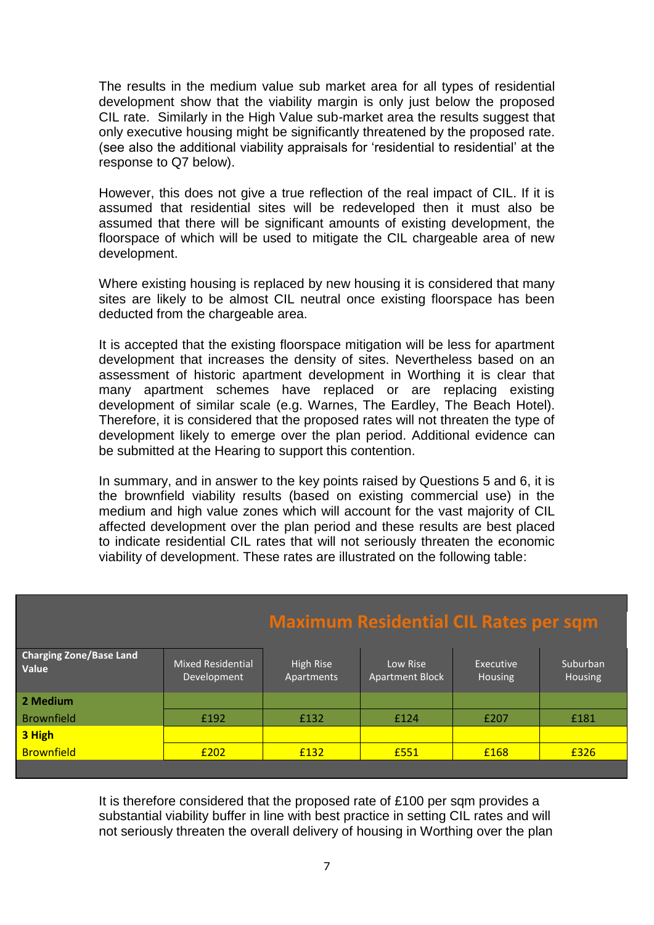The results in the medium value sub market area for all types of residential development show that the viability margin is only just below the proposed CIL rate. Similarly in the High Value sub-market area the results suggest that only executive housing might be significantly threatened by the proposed rate. (see also the additional viability appraisals for 'residential to residential' at the response to Q7 below).

However, this does not give a true reflection of the real impact of CIL. If it is assumed that residential sites will be redeveloped then it must also be assumed that there will be significant amounts of existing development, the floorspace of which will be used to mitigate the CIL chargeable area of new development.

Where existing housing is replaced by new housing it is considered that many sites are likely to be almost CIL neutral once existing floorspace has been deducted from the chargeable area.

It is accepted that the existing floorspace mitigation will be less for apartment development that increases the density of sites. Nevertheless based on an assessment of historic apartment development in Worthing it is clear that many apartment schemes have replaced or are replacing existing development of similar scale (e.g. Warnes, The Eardley, The Beach Hotel). Therefore, it is considered that the proposed rates will not threaten the type of development likely to emerge over the plan period. Additional evidence can be submitted at the Hearing to support this contention.

In summary, and in answer to the key points raised by Questions 5 and 6, it is the brownfield viability results (based on existing commercial use) in the medium and high value zones which will account for the vast majority of CIL affected development over the plan period and these results are best placed to indicate residential CIL rates that will not seriously threaten the economic viability of development. These rates are illustrated on the following table:

# **Maximum Residential CIL Rates per sqm**

| <b>Charging Zone/Base Land</b><br>Value | <b>Mixed Residential</b><br>Development | High Rise<br>Apartments | Low Rise<br><b>Apartment Block</b> | Executive<br>Housing | Suburban<br>Housing |
|-----------------------------------------|-----------------------------------------|-------------------------|------------------------------------|----------------------|---------------------|
| 2 Medium                                |                                         |                         |                                    |                      |                     |
| <b>Brownfield</b>                       | £192                                    | £132                    | £124                               | £207                 | £181                |
| 3 High                                  |                                         |                         |                                    |                      |                     |
| <b>Brownfield</b>                       | £202                                    | £132                    | £551                               | £168                 | £326                |
|                                         |                                         |                         |                                    |                      |                     |

It is therefore considered that the proposed rate of £100 per sqm provides a substantial viability buffer in line with best practice in setting CIL rates and will not seriously threaten the overall delivery of housing in Worthing over the plan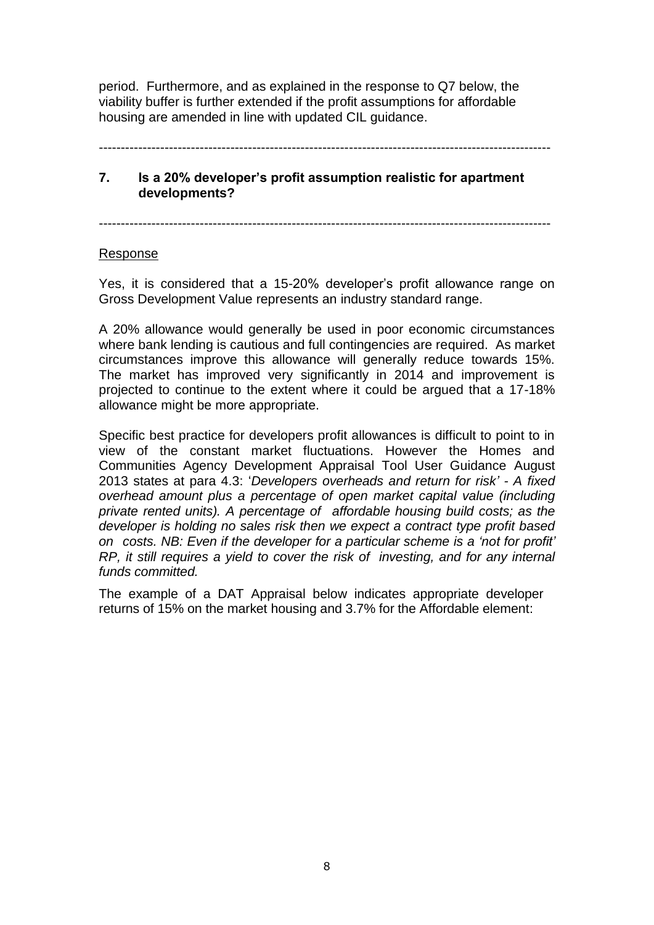period. Furthermore, and as explained in the response to Q7 below, the viability buffer is further extended if the profit assumptions for affordable housing are amended in line with updated CIL guidance.

-------------------------------------------------------------------------------------------------------

#### **7. Is a 20% developer's profit assumption realistic for apartment developments?**

-------------------------------------------------------------------------------------------------------

#### Response

Yes, it is considered that a 15-20% developer's profit allowance range on Gross Development Value represents an industry standard range.

A 20% allowance would generally be used in poor economic circumstances where bank lending is cautious and full contingencies are required. As market circumstances improve this allowance will generally reduce towards 15%. The market has improved very significantly in 2014 and improvement is projected to continue to the extent where it could be argued that a 17-18% allowance might be more appropriate.

Specific best practice for developers profit allowances is difficult to point to in view of the constant market fluctuations. However the Homes and Communities Agency Development Appraisal Tool User Guidance August 2013 states at para 4.3: '*Developers overheads and return for risk' - A fixed overhead amount plus a percentage of open market capital value (including private rented units). A percentage of affordable housing build costs; as the developer is holding no sales risk then we expect a contract type profit based on costs. NB: Even if the developer for a particular scheme is a 'not for profit' RP, it still requires a yield to cover the risk of investing, and for any internal funds committed.*

The example of a DAT Appraisal below indicates appropriate developer returns of 15% on the market housing and 3.7% for the Affordable element: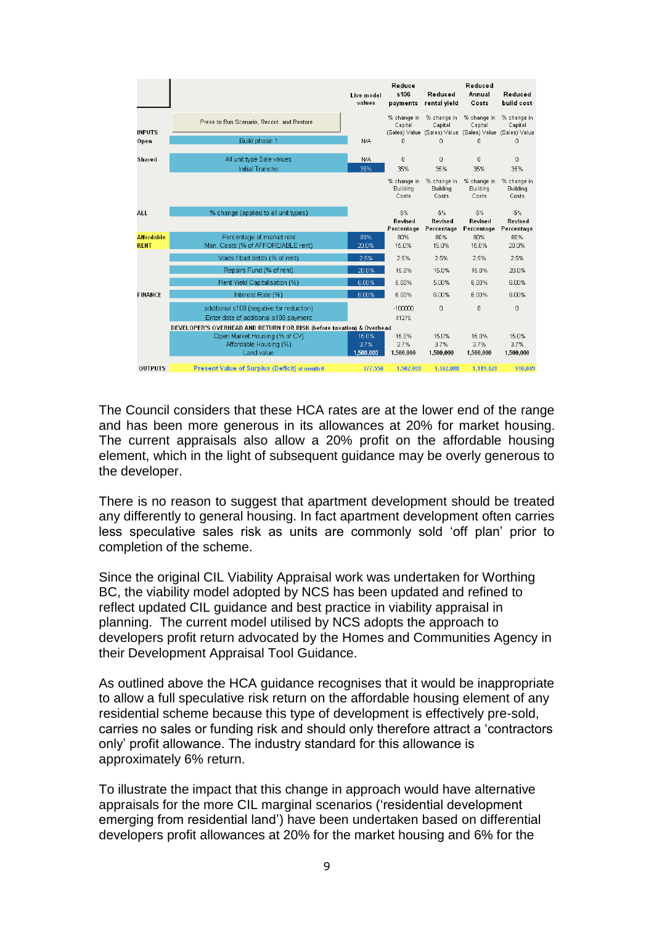|                                  |                                                                                   | Live model<br>values       | Reduce<br>s106<br>payments       | Reduced<br>rental vield                                             | Reduced<br>Annual<br>Costs       | Reduced<br>build cost                   |
|----------------------------------|-----------------------------------------------------------------------------------|----------------------------|----------------------------------|---------------------------------------------------------------------|----------------------------------|-----------------------------------------|
| <b>INPUTS</b>                    | Press to Run Scenario, Record and Restore                                         |                            | % change in<br>Capital           | % change in<br>Capital<br>(Sales) Value (Sales) Value (Sales) Value | % change in<br>Capital           | % change in<br>Capital<br>(Sales) Value |
| Open                             | Build phase 1                                                                     | N/A                        | 0                                | 0                                                                   | 0                                | 0                                       |
| Shared                           | All unit type Sale values<br>Initial Tranche                                      | N/A<br>35%                 | 0<br>35%                         | 0<br>35%                                                            | $\Omega$<br>35%                  | 0<br>35%                                |
|                                  |                                                                                   |                            | % change in<br>Buildina<br>Costs | % change in<br>Building<br>Costs                                    | % change in<br>Building<br>Costs | % change in<br>Buildina<br>Costs        |
| <b>ALL</b>                       | % change (applied to all unit types)                                              |                            | $-5%$<br>Revised<br>Percentage   | $-5%$<br>Revised<br>Percentage                                      | $-5%$<br>Revised<br>Percentage   | $-5%$<br>Revised<br>Percentage          |
| <b>Affordable</b><br><b>RENT</b> | Percentage of market rent<br>Man. Costs (% of AFFORDABLE rent)                    | 80%<br>20.0%               | 80%<br>15.0%                     | 80%<br>15.0%                                                        | 80%<br>15.0%                     | 80%<br>20.0%                            |
|                                  | Voids / bad debts (% of rent)                                                     | 2.5%                       | 2.5%                             | 2.5%                                                                | 2.5%                             | 2.5%                                    |
|                                  | Repairs Fund (% of rent)                                                          | 20.0%                      | 15.0%                            | 15.0%                                                               | 15.0%                            | 20.0%                                   |
|                                  | Rent Yield Capitalisation (%)                                                     | 6.00%                      | 5.00%                            | 5.00%                                                               | 6.00%                            | 6.00%                                   |
| <b>FINANCE</b>                   | Interest Rate (%)                                                                 | 6.00%                      | 6.00%                            | 6.00%                                                               | 6.00%                            | 6.00%                                   |
|                                  | additional s106 (negative for reduction)<br>Enter date of additional s106 payment |                            | $-100000$<br>41275               | 0                                                                   | 0                                | 0                                       |
|                                  | DEVELOPER'S OVERHEAD AND RETURN FOR RISK (before taxation) & Overhead             |                            |                                  |                                                                     |                                  |                                         |
|                                  | Open Market Housing (% of CV)<br>Affordable Housing (%)<br>Land value             | 15.0%<br>3.7%<br>1,500,000 | 15.0%<br>3.7%<br>1,500,000       | 15.0%<br>3.7%<br>1,500,000                                          | 15.0%<br>3.7%<br>1,500,000       | 15.0%<br>3.7%<br>1,500,000              |
| <b>OUTPUTS</b>                   | <b>Present Value of Surplus (Deficit) at month 0</b>                              | 477.550                    | 1.502.088                        | 1.402.088                                                           | 1.119.428                        | 910.049                                 |

The Council considers that these HCA rates are at the lower end of the range and has been more generous in its allowances at 20% for market housing. The current appraisals also allow a 20% profit on the affordable housing element, which in the light of subsequent guidance may be overly generous to the developer.

There is no reason to suggest that apartment development should be treated any differently to general housing. In fact apartment development often carries less speculative sales risk as units are commonly sold 'off plan' prior to completion of the scheme.

Since the original CIL Viability Appraisal work was undertaken for Worthing BC, the viability model adopted by NCS has been updated and refined to reflect updated CIL guidance and best practice in viability appraisal in planning. The current model utilised by NCS adopts the approach to developers profit return advocated by the Homes and Communities Agency in their Development Appraisal Tool Guidance.

As outlined above the HCA guidance recognises that it would be inappropriate to allow a full speculative risk return on the affordable housing element of any residential scheme because this type of development is effectively pre-sold, carries no sales or funding risk and should only therefore attract a 'contractors only' profit allowance. The industry standard for this allowance is approximately 6% return.

To illustrate the impact that this change in approach would have alternative appraisals for the more CIL marginal scenarios ('residential development emerging from residential land') have been undertaken based on differential developers profit allowances at 20% for the market housing and 6% for the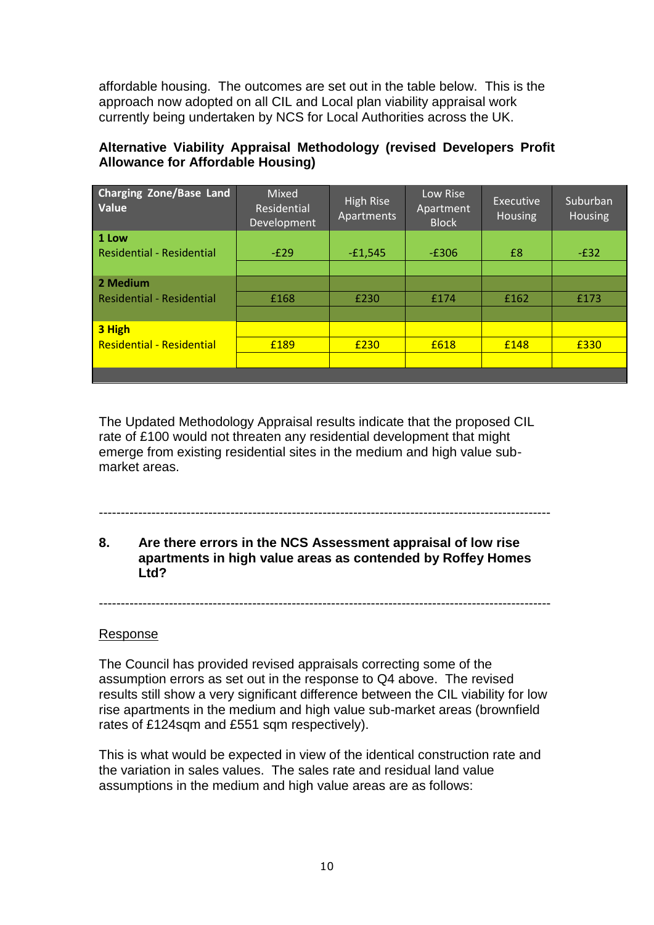affordable housing. The outcomes are set out in the table below. This is the approach now adopted on all CIL and Local plan viability appraisal work currently being undertaken by NCS for Local Authorities across the UK.

### **Alternative Viability Appraisal Methodology (revised Developers Profit Allowance for Affordable Housing)**

| <b>Charging Zone/Base Land</b><br>Value   | Mixed<br>Residential<br>Development | High Rise<br>Apartments | Low Rise<br>Apartment<br><b>Block</b> | Executive<br><b>Housing</b> | Suburban<br>Housing |
|-------------------------------------------|-------------------------------------|-------------------------|---------------------------------------|-----------------------------|---------------------|
| 1 Low<br><b>Residential - Residential</b> | $-E29$                              | $-£1,545$               | $-E306$                               | £8                          | $-E32$              |
|                                           |                                     |                         |                                       |                             |                     |
| 2 Medium                                  |                                     |                         |                                       |                             |                     |
| <b>Residential - Residential</b>          | £168                                | £230                    | £174                                  | £162                        | £173                |
|                                           |                                     |                         |                                       |                             |                     |
| 3 High                                    |                                     |                         |                                       |                             |                     |
| <b>Residential - Residential</b>          | £189                                | £230                    | £618                                  | £148                        | £330                |
|                                           |                                     |                         |                                       |                             |                     |
|                                           |                                     |                         |                                       |                             |                     |

The Updated Methodology Appraisal results indicate that the proposed CIL rate of £100 would not threaten any residential development that might emerge from existing residential sites in the medium and high value submarket areas.

### **8. Are there errors in the NCS Assessment appraisal of low rise apartments in high value areas as contended by Roffey Homes Ltd?**

-------------------------------------------------------------------------------------------------------

-------------------------------------------------------------------------------------------------------

#### Response

The Council has provided revised appraisals correcting some of the assumption errors as set out in the response to Q4 above. The revised results still show a very significant difference between the CIL viability for low rise apartments in the medium and high value sub-market areas (brownfield rates of £124sqm and £551 sqm respectively).

This is what would be expected in view of the identical construction rate and the variation in sales values. The sales rate and residual land value assumptions in the medium and high value areas are as follows: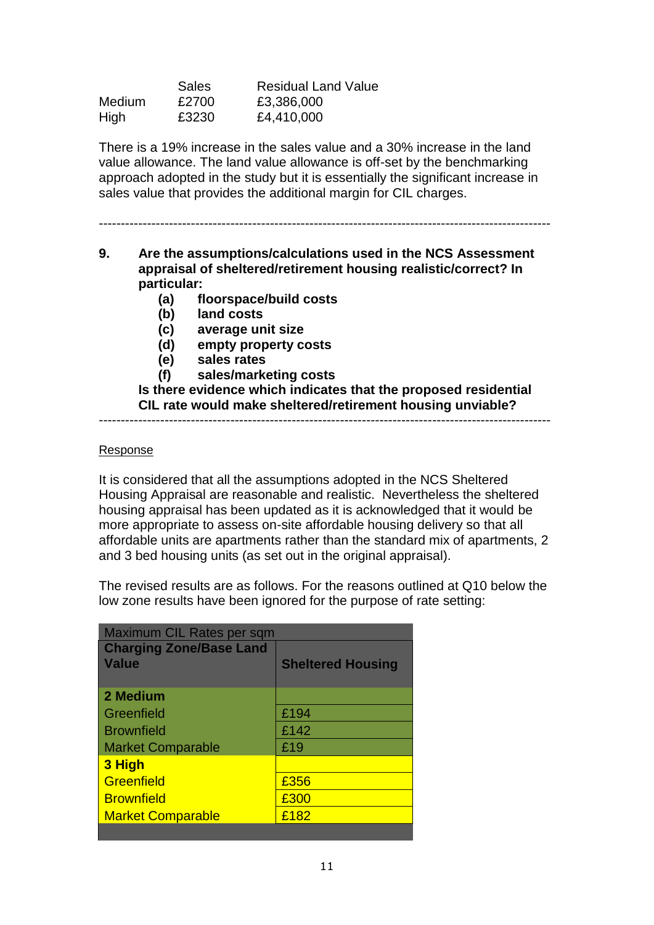|               | <b>Sales</b> | <b>Residual Land Value</b> |
|---------------|--------------|----------------------------|
| <b>Medium</b> | £2700        | £3,386,000                 |
| High          | £3230        | £4,410,000                 |

There is a 19% increase in the sales value and a 30% increase in the land value allowance. The land value allowance is off-set by the benchmarking approach adopted in the study but it is essentially the significant increase in sales value that provides the additional margin for CIL charges.

-------------------------------------------------------------------------------------------------------

- **9. Are the assumptions/calculations used in the NCS Assessment appraisal of sheltered/retirement housing realistic/correct? In particular:**
	- **(a) floorspace/build costs**
	- **(b) land costs**
	- **(c) average unit size**
	- **(d) empty property costs**
	- **(e) sales rates**
	- **(f) sales/marketing costs**

**Is there evidence which indicates that the proposed residential CIL rate would make sheltered/retirement housing unviable?**

-------------------------------------------------------------------------------------------------------

#### Response

It is considered that all the assumptions adopted in the NCS Sheltered Housing Appraisal are reasonable and realistic. Nevertheless the sheltered housing appraisal has been updated as it is acknowledged that it would be more appropriate to assess on-site affordable housing delivery so that all affordable units are apartments rather than the standard mix of apartments, 2 and 3 bed housing units (as set out in the original appraisal).

The revised results are as follows. For the reasons outlined at Q10 below the low zone results have been ignored for the purpose of rate setting:

| Maximum CIL Rates per sqm      |                          |  |  |  |  |
|--------------------------------|--------------------------|--|--|--|--|
| <b>Charging Zone/Base Land</b> |                          |  |  |  |  |
| <b>Value</b>                   | <b>Sheltered Housing</b> |  |  |  |  |
|                                |                          |  |  |  |  |
| 2 Medium                       |                          |  |  |  |  |
| Greenfield                     | £194                     |  |  |  |  |
| <b>Brownfield</b>              | £142                     |  |  |  |  |
| <b>Market Comparable</b>       | £19                      |  |  |  |  |
| 3 High                         |                          |  |  |  |  |
| Greenfield                     | £356                     |  |  |  |  |
| <b>Brownfield</b>              | £300                     |  |  |  |  |
| <b>Market Comparable</b>       | £182                     |  |  |  |  |
|                                |                          |  |  |  |  |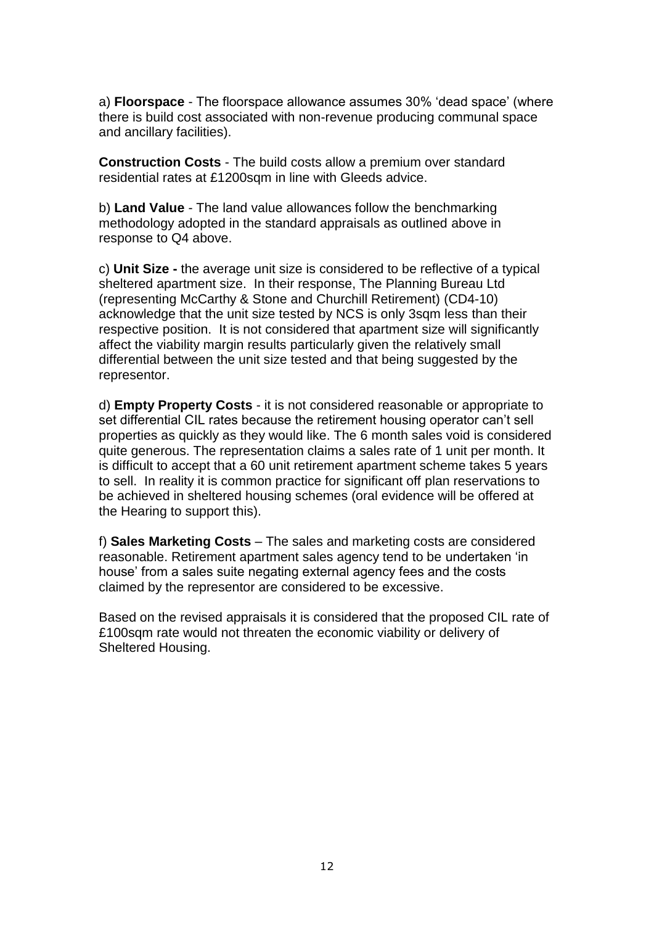a) **Floorspace** - The floorspace allowance assumes 30% 'dead space' (where there is build cost associated with non-revenue producing communal space and ancillary facilities).

**Construction Costs** - The build costs allow a premium over standard residential rates at £1200sqm in line with Gleeds advice.

b) **Land Value** - The land value allowances follow the benchmarking methodology adopted in the standard appraisals as outlined above in response to Q4 above.

c) **Unit Size -** the average unit size is considered to be reflective of a typical sheltered apartment size. In their response, The Planning Bureau Ltd (representing McCarthy & Stone and Churchill Retirement) (CD4-10) acknowledge that the unit size tested by NCS is only 3sqm less than their respective position. It is not considered that apartment size will significantly affect the viability margin results particularly given the relatively small differential between the unit size tested and that being suggested by the representor.

d) **Empty Property Costs** - it is not considered reasonable or appropriate to set differential CIL rates because the retirement housing operator can't sell properties as quickly as they would like. The 6 month sales void is considered quite generous. The representation claims a sales rate of 1 unit per month. It is difficult to accept that a 60 unit retirement apartment scheme takes 5 years to sell. In reality it is common practice for significant off plan reservations to be achieved in sheltered housing schemes (oral evidence will be offered at the Hearing to support this).

f) **Sales Marketing Costs** – The sales and marketing costs are considered reasonable. Retirement apartment sales agency tend to be undertaken 'in house' from a sales suite negating external agency fees and the costs claimed by the representor are considered to be excessive.

Based on the revised appraisals it is considered that the proposed CIL rate of £100sqm rate would not threaten the economic viability or delivery of Sheltered Housing.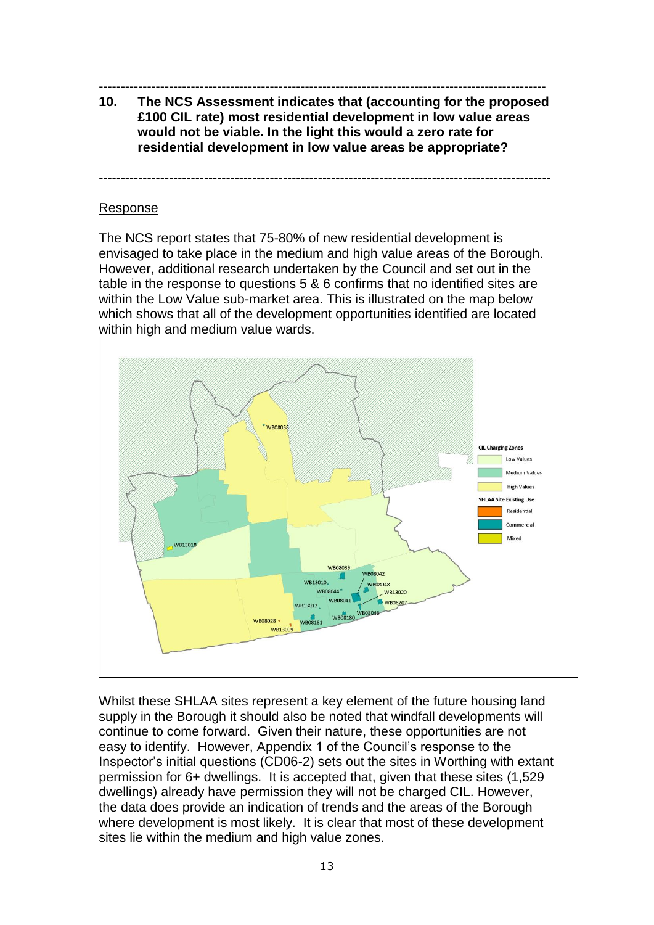### ------------------------------------------------------------------------------------------------------

**10. The NCS Assessment indicates that (accounting for the proposed £100 CIL rate) most residential development in low value areas would not be viable. In the light this would a zero rate for residential development in low value areas be appropriate?** 

-------------------------------------------------------------------------------------------------------

#### Response

The NCS report states that 75-80% of new residential development is envisaged to take place in the medium and high value areas of the Borough. However, additional research undertaken by the Council and set out in the table in the response to questions 5 & 6 confirms that no identified sites are within the Low Value sub-market area. This is illustrated on the map below which shows that all of the development opportunities identified are located within high and medium value wards.



Whilst these SHLAA sites represent a key element of the future housing land supply in the Borough it should also be noted that windfall developments will continue to come forward. Given their nature, these opportunities are not easy to identify. However, Appendix 1 of the Council's response to the Inspector's initial questions (CD06-2) sets out the sites in Worthing with extant permission for 6+ dwellings. It is accepted that, given that these sites (1,529 dwellings) already have permission they will not be charged CIL. However, the data does provide an indication of trends and the areas of the Borough where development is most likely. It is clear that most of these development sites lie within the medium and high value zones.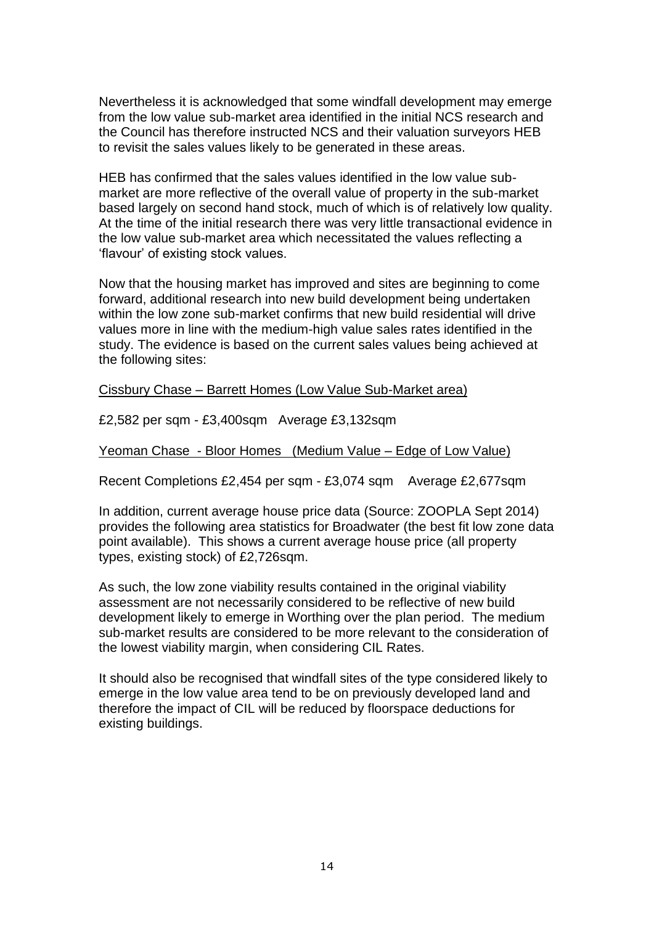Nevertheless it is acknowledged that some windfall development may emerge from the low value sub-market area identified in the initial NCS research and the Council has therefore instructed NCS and their valuation surveyors HEB to revisit the sales values likely to be generated in these areas.

HEB has confirmed that the sales values identified in the low value submarket are more reflective of the overall value of property in the sub-market based largely on second hand stock, much of which is of relatively low quality. At the time of the initial research there was very little transactional evidence in the low value sub-market area which necessitated the values reflecting a 'flavour' of existing stock values.

Now that the housing market has improved and sites are beginning to come forward, additional research into new build development being undertaken within the low zone sub-market confirms that new build residential will drive values more in line with the medium-high value sales rates identified in the study. The evidence is based on the current sales values being achieved at the following sites:

Cissbury Chase – Barrett Homes (Low Value Sub-Market area)

£2,582 per sqm - £3,400sqm Average £3,132sqm

Yeoman Chase - Bloor Homes (Medium Value – Edge of Low Value)

Recent Completions £2,454 per sqm - £3,074 sqm Average £2,677sqm

In addition, current average house price data (Source: ZOOPLA Sept 2014) provides the following area statistics for Broadwater (the best fit low zone data point available). This shows a current average house price (all property types, existing stock) of £2,726sqm.

As such, the low zone viability results contained in the original viability assessment are not necessarily considered to be reflective of new build development likely to emerge in Worthing over the plan period. The medium sub-market results are considered to be more relevant to the consideration of the lowest viability margin, when considering CIL Rates.

It should also be recognised that windfall sites of the type considered likely to emerge in the low value area tend to be on previously developed land and therefore the impact of CIL will be reduced by floorspace deductions for existing buildings.